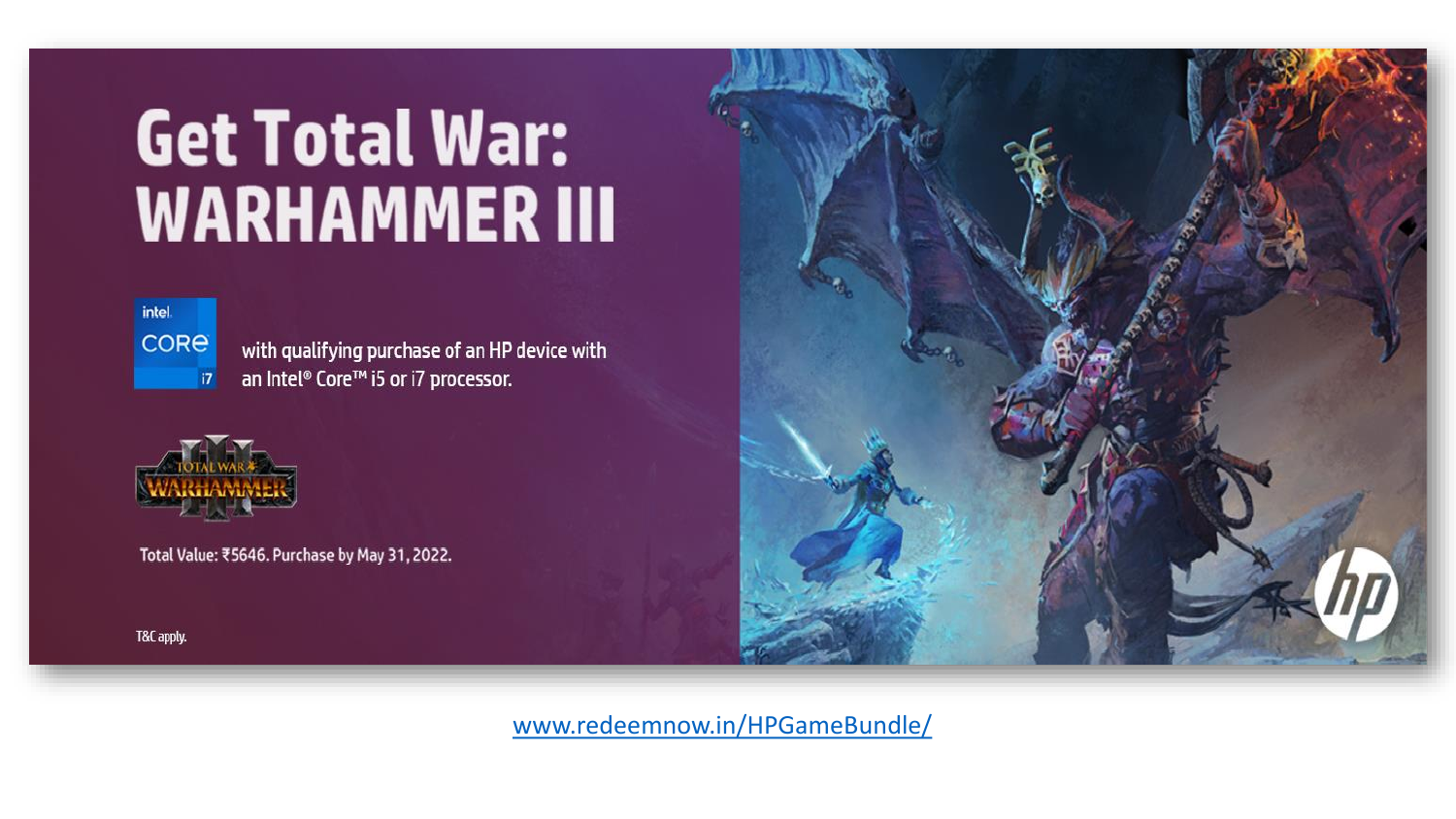# **Get Total War: WARHAMMER III**



with qualifying purchase of an HP device with an Intel® Core™ i5 or i7 processor.



Total Value: ₹5646. Purchase by May 31, 2022.



[www.redeemnow.in/HPGameBundle/](http://www.redeemnow.in/HPGameBundle/)

T&C apply.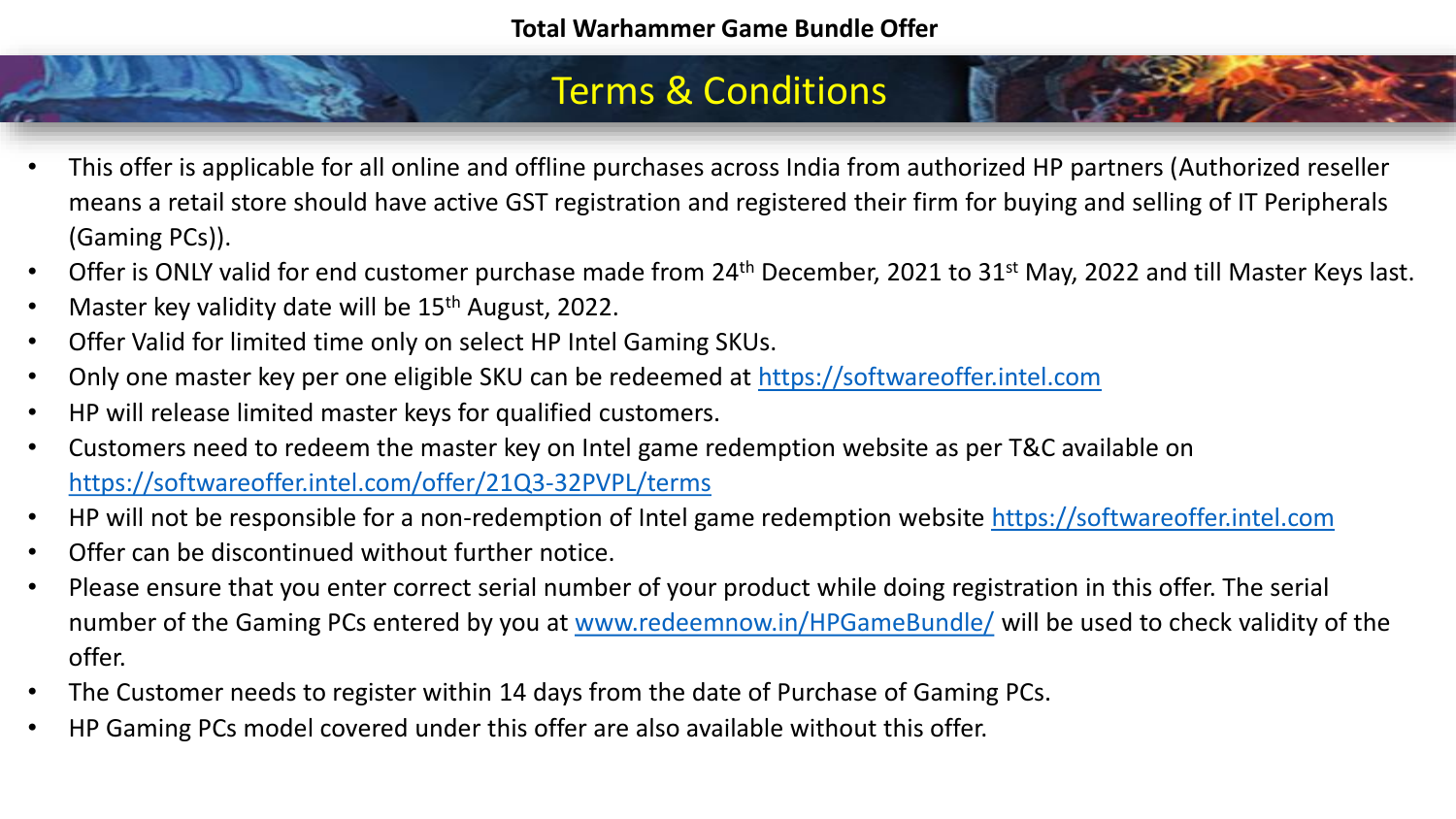### Terms & Conditions

- This offer is applicable for all online and offline purchases across India from authorized HP partners (Authorized reseller means a retail store should have active GST registration and registered their firm for buying and selling of IT Peripherals (Gaming PCs)).
- Offer is ONLY valid for end customer purchase made from 24<sup>th</sup> December, 2021 to 31<sup>st</sup> May, 2022 and till Master Keys last.
- Master key validity date will be  $15<sup>th</sup>$  August, 2022.
- Offer Valid for limited time only on select HP Intel Gaming SKUs.
- Only one master key per one eligible SKU can be redeemed at [https://softwareoffer.intel.com](https://softwareoffer.intel.com/)
- HP will release limited master keys for qualified customers.
- Customers need to redeem the master key on Intel game redemption website as per T&C available on <https://softwareoffer.intel.com/offer/21Q3-32PVPL/terms>
- HP will not be responsible for a non-redemption of Intel game redemption website [https://softwareoffer.intel.com](https://softwareoffer.intel.com/)
- Offer can be discontinued without further notice.
- Please ensure that you enter correct serial number of your product while doing registration in this offer. The serial number of the Gaming PCs entered by you at [www.redeemnow.in/HPGameBundle/](http://www.redeemnow.in/HPGameBundle/) will be used to check validity of the offer.
- The Customer needs to register within 14 days from the date of Purchase of Gaming PCs.
- HP Gaming PCs model covered under this offer are also available without this offer.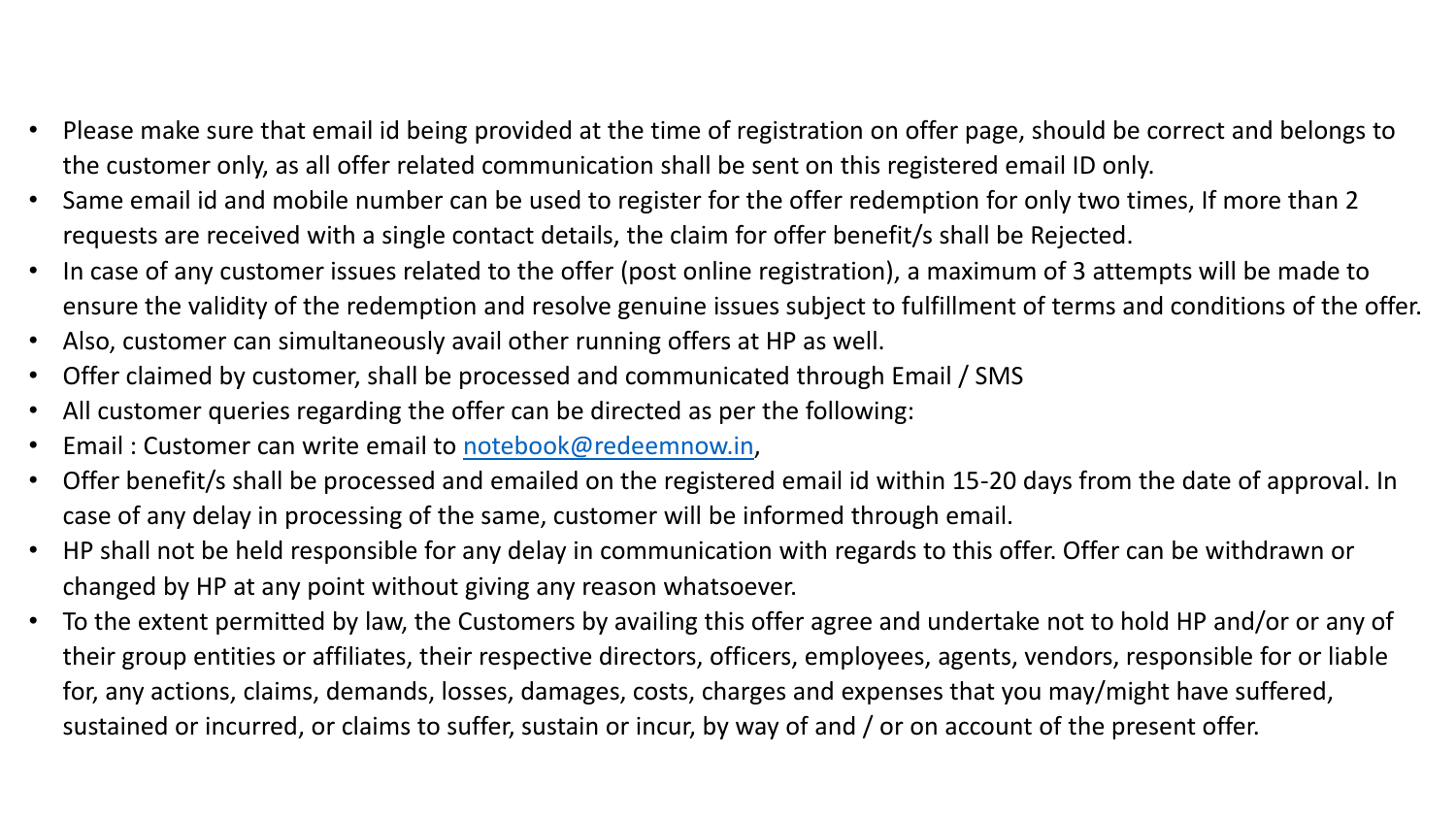- Please make sure that email id being provided at the time of registration on offer page, should be correct and belongs to the customer only, as all offer related communication shall be sent on this registered email ID only.
- Same email id and mobile number can be used to register for the offer redemption for only two times, If more than 2 requests are received with a single contact details, the claim for offer benefit/s shall be Rejected.
- In case of any customer issues related to the offer (post online registration), a maximum of 3 attempts will be made to ensure the validity of the redemption and resolve genuine issues subject to fulfillment of terms and conditions of the offer.
- Also, customer can simultaneously avail other running offers at HP as well.
- Offer claimed by customer, shall be processed and communicated through Email / SMS
- All customer queries regarding the offer can be directed as per the following:
- Email : Customer can write email to [notebook@redeemnow.in](mailto:notebook@redeemnow.in),
- Offer benefit/s shall be processed and emailed on the registered email id within 15-20 days from the date of approval. In case of any delay in processing of the same, customer will be informed through email.
- HP shall not be held responsible for any delay in communication with regards to this offer. Offer can be withdrawn or changed by HP at any point without giving any reason whatsoever.
- To the extent permitted by law, the Customers by availing this offer agree and undertake not to hold HP and/or or any of their group entities or affiliates, their respective directors, officers, employees, agents, vendors, responsible for or liable for, any actions, claims, demands, losses, damages, costs, charges and expenses that you may/might have suffered, sustained or incurred, or claims to suffer, sustain or incur, by way of and / or on account of the present offer.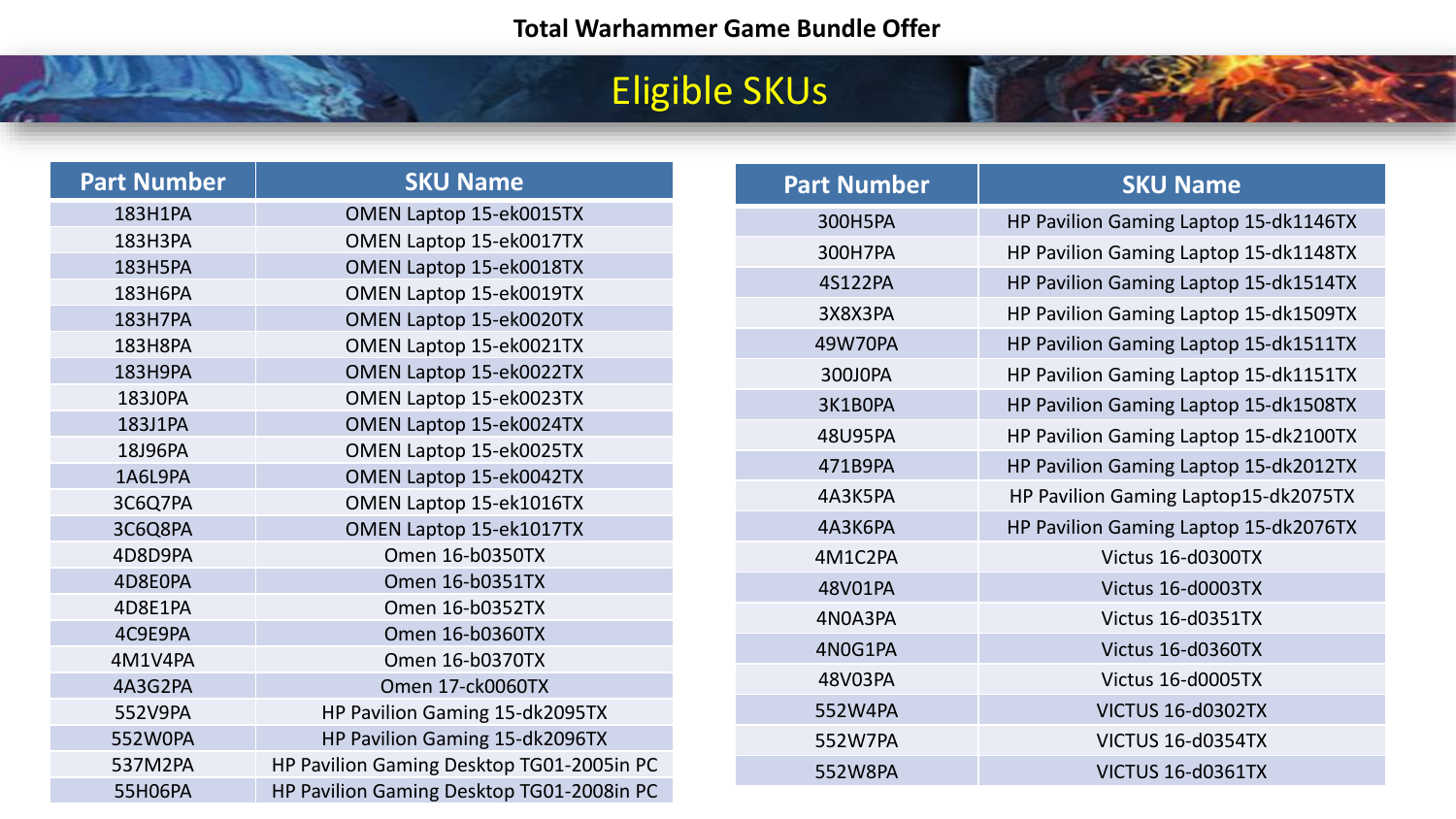## Eligible SKUs

| <b>Part Number</b> | <b>SKU Name</b>                           |
|--------------------|-------------------------------------------|
| 183H1PA            | OMEN Laptop 15-ek0015TX                   |
| 183H3PA            | OMEN Laptop 15-ek0017TX                   |
| <b>183H5PA</b>     | OMEN Laptop 15-ek0018TX                   |
| 183H6PA            | OMEN Laptop 15-ek0019TX                   |
| <b>183H7PA</b>     | OMEN Laptop 15-ek0020TX                   |
| 183H8PA            | OMEN Laptop 15-ek0021TX                   |
| 183H9PA            | OMEN Laptop 15-ek0022TX                   |
| 183J0PA            | OMEN Laptop 15-ek0023TX                   |
| 183J1PA            | OMEN Laptop 15-ek0024TX                   |
| 18J96PA            | OMEN Laptop 15-ek0025TX                   |
| 1A6L9PA            | OMEN Laptop 15-ek0042TX                   |
| 3C6Q7PA            | OMEN Laptop 15-ek1016TX                   |
| 3C6Q8PA            | OMEN Laptop 15-ek1017TX                   |
| 4D8D9PA            | Omen 16-b0350TX                           |
| 4D8E0PA            | Omen 16-b0351TX                           |
| 4D8E1PA            | Omen 16-b0352TX                           |
| 4C9E9PA            | Omen 16-b0360TX                           |
| 4M1V4PA            | Omen 16-b0370TX                           |
| 4A3G2PA            | Omen 17-ck0060TX                          |
| 552V9PA            | HP Pavilion Gaming 15-dk2095TX            |
| 552W0PA            | HP Pavilion Gaming 15-dk2096TX            |
| 537M2PA            | HP Pavilion Gaming Desktop TG01-2005in PC |
| 55H06PA            | HP Pavilion Gaming Desktop TG01-2008in PC |

| <b>SKU Name</b>                       |
|---------------------------------------|
| HP Pavilion Gaming Laptop 15-dk1146TX |
| HP Pavilion Gaming Laptop 15-dk1148TX |
| HP Pavilion Gaming Laptop 15-dk1514TX |
| HP Pavilion Gaming Laptop 15-dk1509TX |
| HP Pavilion Gaming Laptop 15-dk1511TX |
| HP Pavilion Gaming Laptop 15-dk1151TX |
| HP Pavilion Gaming Laptop 15-dk1508TX |
| HP Pavilion Gaming Laptop 15-dk2100TX |
| HP Pavilion Gaming Laptop 15-dk2012TX |
| HP Pavilion Gaming Laptop15-dk2075TX  |
| HP Pavilion Gaming Laptop 15-dk2076TX |
| Victus 16-d0300TX                     |
| Victus 16-d0003TX                     |
| Victus 16-d0351TX                     |
| Victus 16-d0360TX                     |
| Victus 16-d0005TX                     |
| VICTUS 16-d0302TX                     |
| VICTUS 16-d0354TX                     |
| VICTUS 16-d0361TX                     |
|                                       |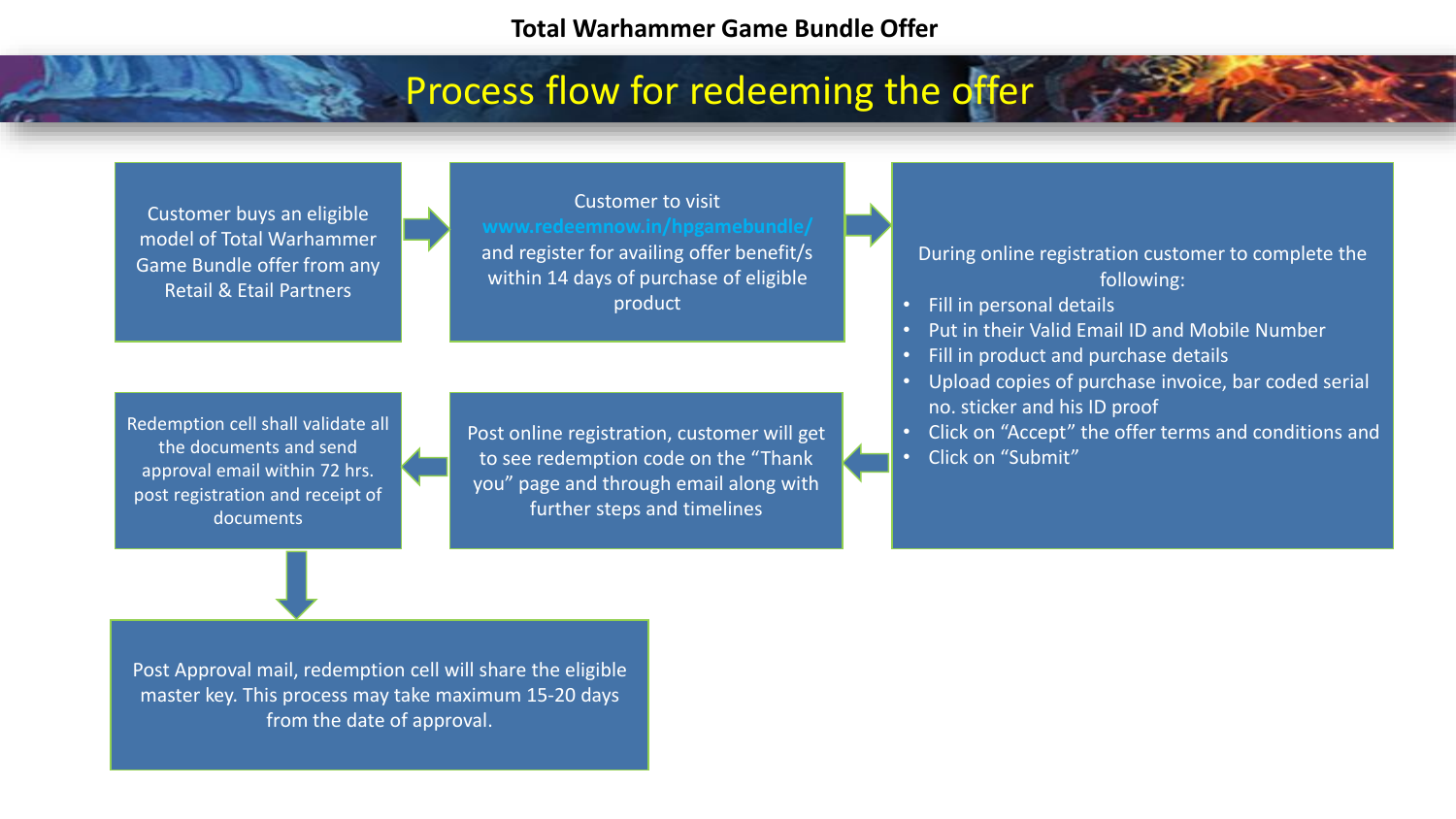## Process flow for redeeming the offer

Customer buys an eligible model of Total Warhammer Game Bundle offer from any Retail & Etail Partners

Customer to visit and register for availing offer benefit/s within 14 days of purchase of eligible product

Redemption cell shall validate all the documents and send approval email within 72 hrs. post registration and receipt of documents

Post online registration, customer will get to see redemption code on the "Thank you" page and through email along with further steps and timelines

During online registration customer to complete the following:

- Fill in personal details
- Put in their Valid Email ID and Mobile Number
- Fill in product and purchase details
- Upload copies of purchase invoice, bar coded serial no. sticker and his ID proof
- Click on "Accept" the offer terms and conditions and • Click on "Submit"

Post Approval mail, redemption cell will share the eligible master key. This process may take maximum 15-20 days from the date of approval.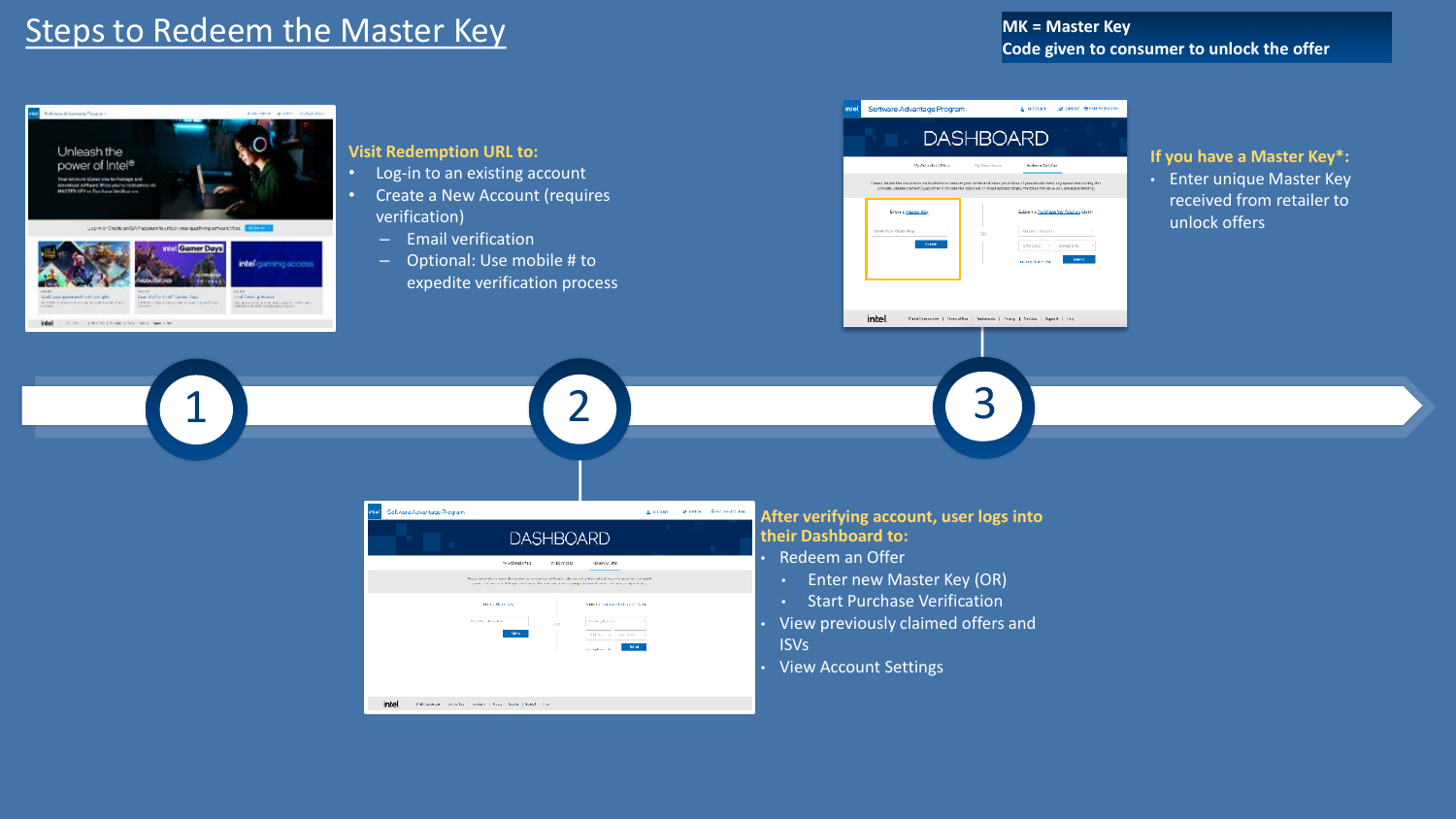#### Steps to Redeem the Master Key